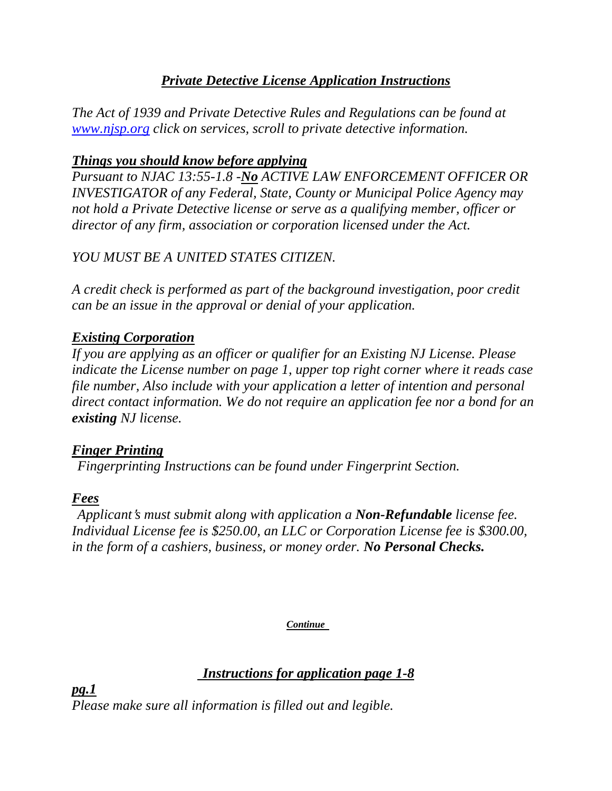### *Private Detective License Application Instructions*

*The Act of 1939 and Private Detective Rules and Regulations can be found at www.njsp.org click on services, scroll to private detective information.* 

#### *Things you should know before applying*

*Pursuant to NJAC 13:55-1.8 -No ACTIVE LAW ENFORCEMENT OFFICER OR INVESTIGATOR of any Federal, State, County or Municipal Police Agency may not hold a Private Detective license or serve as a qualifying member, officer or director of any firm, association or corporation licensed under the Act.* 

## *YOU MUST BE A UNITED STATES CITIZEN.*

*A credit check is performed as part of the background investigation, poor credit can be an issue in the approval or denial of your application.* 

#### *Existing Corporation*

*If you are applying as an officer or qualifier for an Existing NJ License. Please indicate the License number on page 1, upper top right corner where it reads case file number, Also include with your application a letter of intention and personal direct contact information. We do not require an application fee nor a bond for an existing NJ license.* 

#### *Finger Printing*

 *Fingerprinting Instructions can be found under Fingerprint Section.* 

#### *Fees*

 *Applicant*=*s must submit along with application a Non-Refundable license fee. Individual License fee is \$250.00, an LLC or Corporation License fee is \$300.00, in the form of a cashiers, business, or money order. No Personal Checks.*

*Continue* 

 *Instructions for application page 1-8*

*pg.1 Please make sure all information is filled out and legible.*